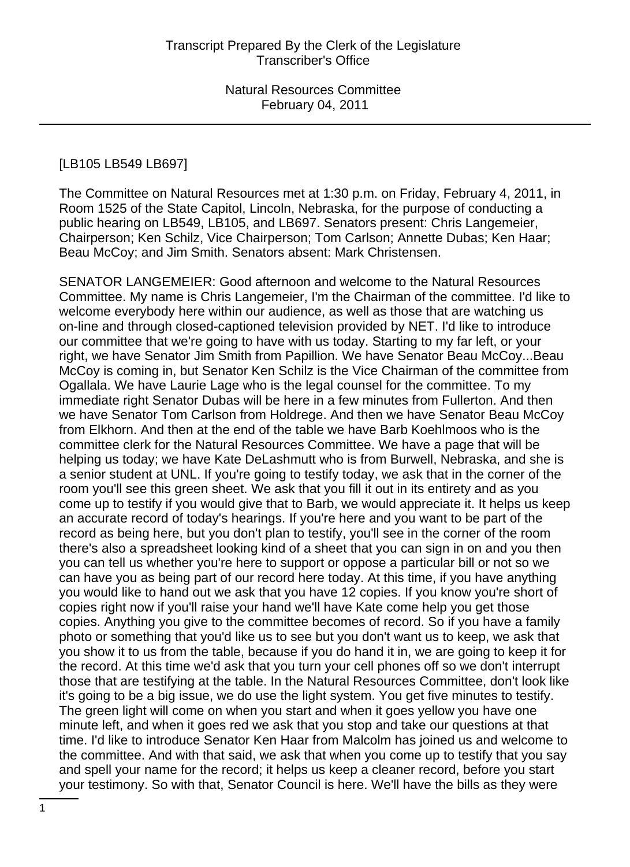## [LB105 LB549 LB697]

The Committee on Natural Resources met at 1:30 p.m. on Friday, February 4, 2011, in Room 1525 of the State Capitol, Lincoln, Nebraska, for the purpose of conducting a public hearing on LB549, LB105, and LB697. Senators present: Chris Langemeier, Chairperson; Ken Schilz, Vice Chairperson; Tom Carlson; Annette Dubas; Ken Haar; Beau McCoy; and Jim Smith. Senators absent: Mark Christensen.

SENATOR LANGEMEIER: Good afternoon and welcome to the Natural Resources Committee. My name is Chris Langemeier, I'm the Chairman of the committee. I'd like to welcome everybody here within our audience, as well as those that are watching us on-line and through closed-captioned television provided by NET. I'd like to introduce our committee that we're going to have with us today. Starting to my far left, or your right, we have Senator Jim Smith from Papillion. We have Senator Beau McCoy...Beau McCoy is coming in, but Senator Ken Schilz is the Vice Chairman of the committee from Ogallala. We have Laurie Lage who is the legal counsel for the committee. To my immediate right Senator Dubas will be here in a few minutes from Fullerton. And then we have Senator Tom Carlson from Holdrege. And then we have Senator Beau McCoy from Elkhorn. And then at the end of the table we have Barb Koehlmoos who is the committee clerk for the Natural Resources Committee. We have a page that will be helping us today; we have Kate DeLashmutt who is from Burwell, Nebraska, and she is a senior student at UNL. If you're going to testify today, we ask that in the corner of the room you'll see this green sheet. We ask that you fill it out in its entirety and as you come up to testify if you would give that to Barb, we would appreciate it. It helps us keep an accurate record of today's hearings. If you're here and you want to be part of the record as being here, but you don't plan to testify, you'll see in the corner of the room there's also a spreadsheet looking kind of a sheet that you can sign in on and you then you can tell us whether you're here to support or oppose a particular bill or not so we can have you as being part of our record here today. At this time, if you have anything you would like to hand out we ask that you have 12 copies. If you know you're short of copies right now if you'll raise your hand we'll have Kate come help you get those copies. Anything you give to the committee becomes of record. So if you have a family photo or something that you'd like us to see but you don't want us to keep, we ask that you show it to us from the table, because if you do hand it in, we are going to keep it for the record. At this time we'd ask that you turn your cell phones off so we don't interrupt those that are testifying at the table. In the Natural Resources Committee, don't look like it's going to be a big issue, we do use the light system. You get five minutes to testify. The green light will come on when you start and when it goes yellow you have one minute left, and when it goes red we ask that you stop and take our questions at that time. I'd like to introduce Senator Ken Haar from Malcolm has joined us and welcome to the committee. And with that said, we ask that when you come up to testify that you say and spell your name for the record; it helps us keep a cleaner record, before you start your testimony. So with that, Senator Council is here. We'll have the bills as they were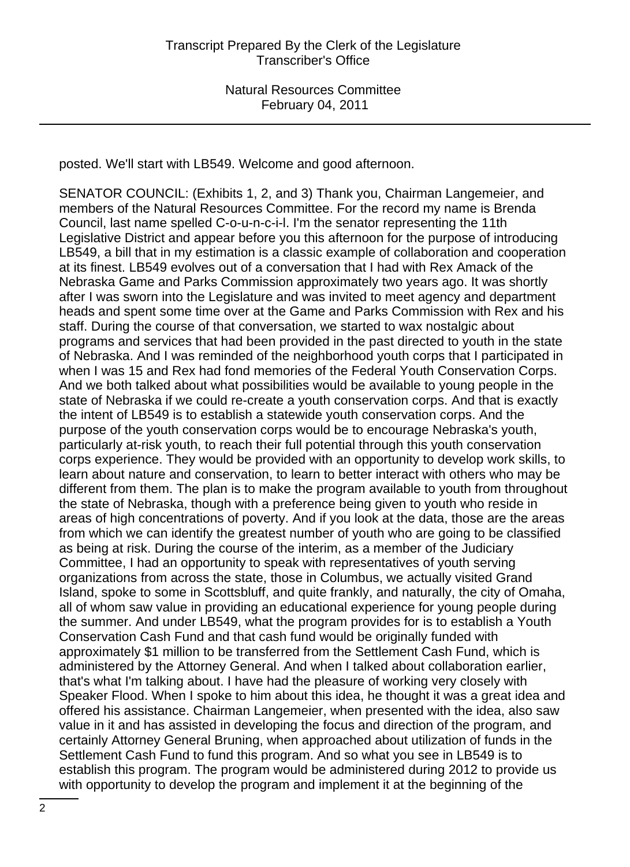posted. We'll start with LB549. Welcome and good afternoon.

SENATOR COUNCIL: (Exhibits 1, 2, and 3) Thank you, Chairman Langemeier, and members of the Natural Resources Committee. For the record my name is Brenda Council, last name spelled C-o-u-n-c-i-l. I'm the senator representing the 11th Legislative District and appear before you this afternoon for the purpose of introducing LB549, a bill that in my estimation is a classic example of collaboration and cooperation at its finest. LB549 evolves out of a conversation that I had with Rex Amack of the Nebraska Game and Parks Commission approximately two years ago. It was shortly after I was sworn into the Legislature and was invited to meet agency and department heads and spent some time over at the Game and Parks Commission with Rex and his staff. During the course of that conversation, we started to wax nostalgic about programs and services that had been provided in the past directed to youth in the state of Nebraska. And I was reminded of the neighborhood youth corps that I participated in when I was 15 and Rex had fond memories of the Federal Youth Conservation Corps. And we both talked about what possibilities would be available to young people in the state of Nebraska if we could re-create a youth conservation corps. And that is exactly the intent of LB549 is to establish a statewide youth conservation corps. And the purpose of the youth conservation corps would be to encourage Nebraska's youth, particularly at-risk youth, to reach their full potential through this youth conservation corps experience. They would be provided with an opportunity to develop work skills, to learn about nature and conservation, to learn to better interact with others who may be different from them. The plan is to make the program available to youth from throughout the state of Nebraska, though with a preference being given to youth who reside in areas of high concentrations of poverty. And if you look at the data, those are the areas from which we can identify the greatest number of youth who are going to be classified as being at risk. During the course of the interim, as a member of the Judiciary Committee, I had an opportunity to speak with representatives of youth serving organizations from across the state, those in Columbus, we actually visited Grand Island, spoke to some in Scottsbluff, and quite frankly, and naturally, the city of Omaha, all of whom saw value in providing an educational experience for young people during the summer. And under LB549, what the program provides for is to establish a Youth Conservation Cash Fund and that cash fund would be originally funded with approximately \$1 million to be transferred from the Settlement Cash Fund, which is administered by the Attorney General. And when I talked about collaboration earlier, that's what I'm talking about. I have had the pleasure of working very closely with Speaker Flood. When I spoke to him about this idea, he thought it was a great idea and offered his assistance. Chairman Langemeier, when presented with the idea, also saw value in it and has assisted in developing the focus and direction of the program, and certainly Attorney General Bruning, when approached about utilization of funds in the Settlement Cash Fund to fund this program. And so what you see in LB549 is to establish this program. The program would be administered during 2012 to provide us with opportunity to develop the program and implement it at the beginning of the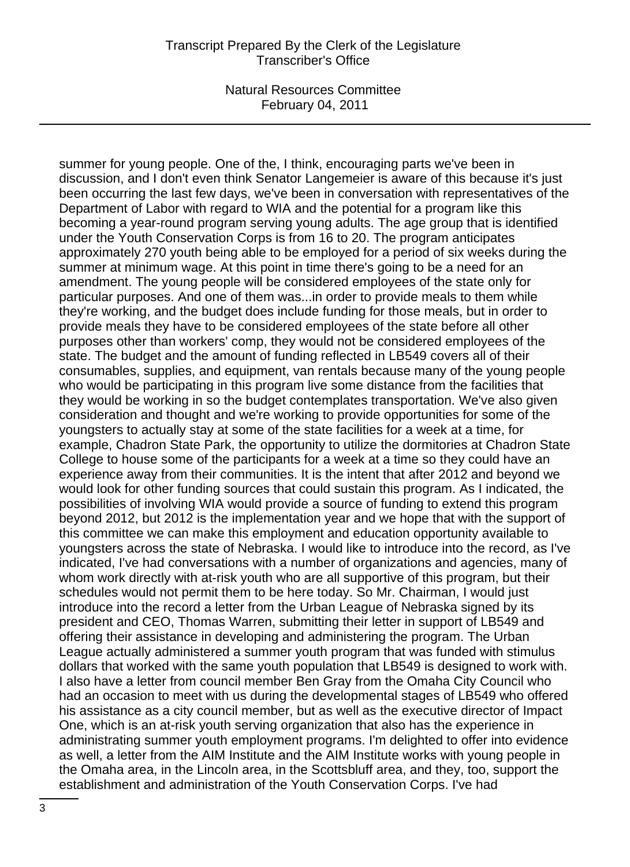summer for young people. One of the, I think, encouraging parts we've been in discussion, and I don't even think Senator Langemeier is aware of this because it's just been occurring the last few days, we've been in conversation with representatives of the Department of Labor with regard to WIA and the potential for a program like this becoming a year-round program serving young adults. The age group that is identified under the Youth Conservation Corps is from 16 to 20. The program anticipates approximately 270 youth being able to be employed for a period of six weeks during the summer at minimum wage. At this point in time there's going to be a need for an amendment. The young people will be considered employees of the state only for particular purposes. And one of them was...in order to provide meals to them while they're working, and the budget does include funding for those meals, but in order to provide meals they have to be considered employees of the state before all other purposes other than workers' comp, they would not be considered employees of the state. The budget and the amount of funding reflected in LB549 covers all of their consumables, supplies, and equipment, van rentals because many of the young people who would be participating in this program live some distance from the facilities that they would be working in so the budget contemplates transportation. We've also given consideration and thought and we're working to provide opportunities for some of the youngsters to actually stay at some of the state facilities for a week at a time, for example, Chadron State Park, the opportunity to utilize the dormitories at Chadron State College to house some of the participants for a week at a time so they could have an experience away from their communities. It is the intent that after 2012 and beyond we would look for other funding sources that could sustain this program. As I indicated, the possibilities of involving WIA would provide a source of funding to extend this program beyond 2012, but 2012 is the implementation year and we hope that with the support of this committee we can make this employment and education opportunity available to youngsters across the state of Nebraska. I would like to introduce into the record, as I've indicated, I've had conversations with a number of organizations and agencies, many of whom work directly with at-risk youth who are all supportive of this program, but their schedules would not permit them to be here today. So Mr. Chairman, I would just introduce into the record a letter from the Urban League of Nebraska signed by its president and CEO, Thomas Warren, submitting their letter in support of LB549 and offering their assistance in developing and administering the program. The Urban League actually administered a summer youth program that was funded with stimulus dollars that worked with the same youth population that LB549 is designed to work with. I also have a letter from council member Ben Gray from the Omaha City Council who had an occasion to meet with us during the developmental stages of LB549 who offered his assistance as a city council member, but as well as the executive director of Impact One, which is an at-risk youth serving organization that also has the experience in administrating summer youth employment programs. I'm delighted to offer into evidence as well, a letter from the AIM Institute and the AIM Institute works with young people in the Omaha area, in the Lincoln area, in the Scottsbluff area, and they, too, support the establishment and administration of the Youth Conservation Corps. I've had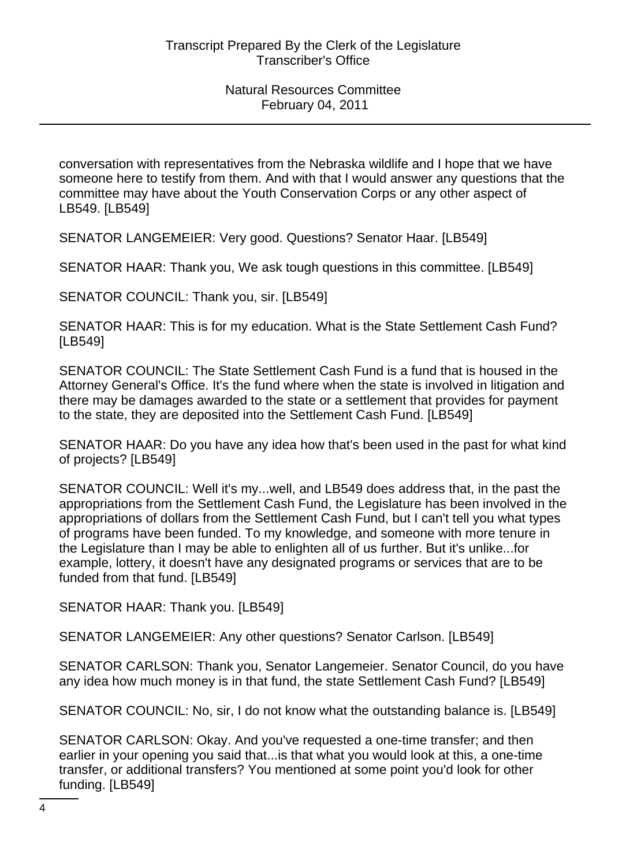conversation with representatives from the Nebraska wildlife and I hope that we have someone here to testify from them. And with that I would answer any questions that the committee may have about the Youth Conservation Corps or any other aspect of LB549. [LB549]

SENATOR LANGEMEIER: Very good. Questions? Senator Haar. [LB549]

SENATOR HAAR: Thank you, We ask tough questions in this committee. [LB549]

SENATOR COUNCIL: Thank you, sir. [LB549]

SENATOR HAAR: This is for my education. What is the State Settlement Cash Fund? [LB549]

SENATOR COUNCIL: The State Settlement Cash Fund is a fund that is housed in the Attorney General's Office. It's the fund where when the state is involved in litigation and there may be damages awarded to the state or a settlement that provides for payment to the state, they are deposited into the Settlement Cash Fund. [LB549]

SENATOR HAAR: Do you have any idea how that's been used in the past for what kind of projects? [LB549]

SENATOR COUNCIL: Well it's my...well, and LB549 does address that, in the past the appropriations from the Settlement Cash Fund, the Legislature has been involved in the appropriations of dollars from the Settlement Cash Fund, but I can't tell you what types of programs have been funded. To my knowledge, and someone with more tenure in the Legislature than I may be able to enlighten all of us further. But it's unlike...for example, lottery, it doesn't have any designated programs or services that are to be funded from that fund. [LB549]

SENATOR HAAR: Thank you. [LB549]

SENATOR LANGEMEIER: Any other questions? Senator Carlson. [LB549]

SENATOR CARLSON: Thank you, Senator Langemeier. Senator Council, do you have any idea how much money is in that fund, the state Settlement Cash Fund? [LB549]

SENATOR COUNCIL: No, sir, I do not know what the outstanding balance is. [LB549]

SENATOR CARLSON: Okay. And you've requested a one-time transfer; and then earlier in your opening you said that...is that what you would look at this, a one-time transfer, or additional transfers? You mentioned at some point you'd look for other funding. [LB549]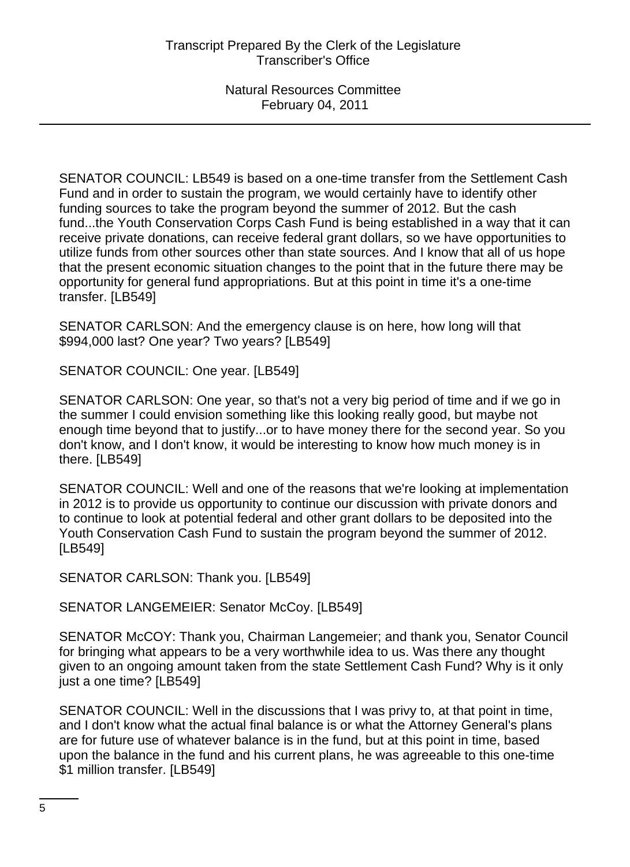SENATOR COUNCIL: LB549 is based on a one-time transfer from the Settlement Cash Fund and in order to sustain the program, we would certainly have to identify other funding sources to take the program beyond the summer of 2012. But the cash fund...the Youth Conservation Corps Cash Fund is being established in a way that it can receive private donations, can receive federal grant dollars, so we have opportunities to utilize funds from other sources other than state sources. And I know that all of us hope that the present economic situation changes to the point that in the future there may be opportunity for general fund appropriations. But at this point in time it's a one-time transfer. [LB549]

SENATOR CARLSON: And the emergency clause is on here, how long will that \$994,000 last? One year? Two years? [LB549]

SENATOR COUNCIL: One year. [LB549]

SENATOR CARLSON: One year, so that's not a very big period of time and if we go in the summer I could envision something like this looking really good, but maybe not enough time beyond that to justify...or to have money there for the second year. So you don't know, and I don't know, it would be interesting to know how much money is in there. [LB549]

SENATOR COUNCIL: Well and one of the reasons that we're looking at implementation in 2012 is to provide us opportunity to continue our discussion with private donors and to continue to look at potential federal and other grant dollars to be deposited into the Youth Conservation Cash Fund to sustain the program beyond the summer of 2012. [LB549]

SENATOR CARLSON: Thank you. [LB549]

SENATOR LANGEMEIER: Senator McCoy. [LB549]

SENATOR McCOY: Thank you, Chairman Langemeier; and thank you, Senator Council for bringing what appears to be a very worthwhile idea to us. Was there any thought given to an ongoing amount taken from the state Settlement Cash Fund? Why is it only just a one time? [LB549]

SENATOR COUNCIL: Well in the discussions that I was privy to, at that point in time, and I don't know what the actual final balance is or what the Attorney General's plans are for future use of whatever balance is in the fund, but at this point in time, based upon the balance in the fund and his current plans, he was agreeable to this one-time \$1 million transfer. [LB549]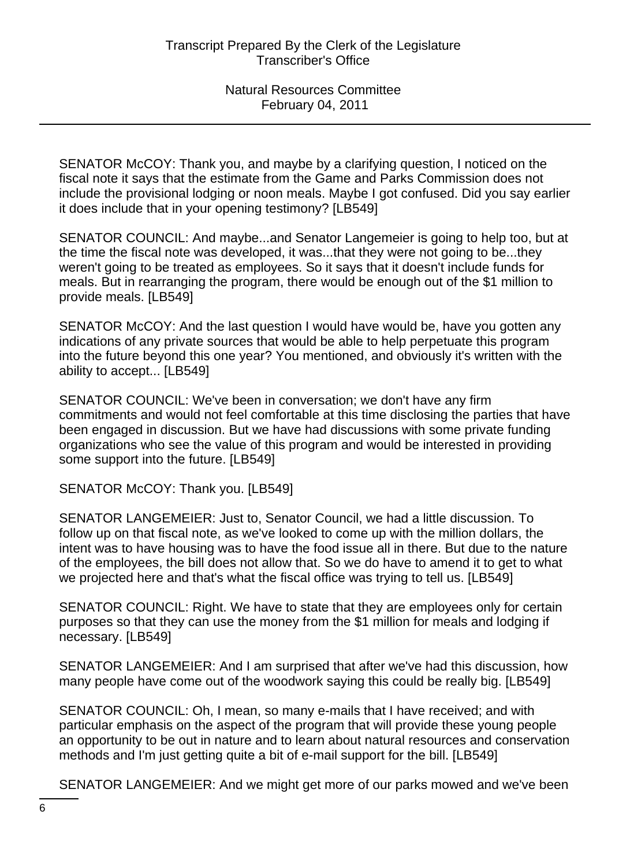SENATOR McCOY: Thank you, and maybe by a clarifying question, I noticed on the fiscal note it says that the estimate from the Game and Parks Commission does not include the provisional lodging or noon meals. Maybe I got confused. Did you say earlier it does include that in your opening testimony? [LB549]

SENATOR COUNCIL: And maybe...and Senator Langemeier is going to help too, but at the time the fiscal note was developed, it was...that they were not going to be...they weren't going to be treated as employees. So it says that it doesn't include funds for meals. But in rearranging the program, there would be enough out of the \$1 million to provide meals. [LB549]

SENATOR McCOY: And the last question I would have would be, have you gotten any indications of any private sources that would be able to help perpetuate this program into the future beyond this one year? You mentioned, and obviously it's written with the ability to accept... [LB549]

SENATOR COUNCIL: We've been in conversation; we don't have any firm commitments and would not feel comfortable at this time disclosing the parties that have been engaged in discussion. But we have had discussions with some private funding organizations who see the value of this program and would be interested in providing some support into the future. [LB549]

SENATOR McCOY: Thank you. [LB549]

SENATOR LANGEMEIER: Just to, Senator Council, we had a little discussion. To follow up on that fiscal note, as we've looked to come up with the million dollars, the intent was to have housing was to have the food issue all in there. But due to the nature of the employees, the bill does not allow that. So we do have to amend it to get to what we projected here and that's what the fiscal office was trying to tell us. [LB549]

SENATOR COUNCIL: Right. We have to state that they are employees only for certain purposes so that they can use the money from the \$1 million for meals and lodging if necessary. [LB549]

SENATOR LANGEMEIER: And I am surprised that after we've had this discussion, how many people have come out of the woodwork saying this could be really big. [LB549]

SENATOR COUNCIL: Oh, I mean, so many e-mails that I have received; and with particular emphasis on the aspect of the program that will provide these young people an opportunity to be out in nature and to learn about natural resources and conservation methods and I'm just getting quite a bit of e-mail support for the bill. [LB549]

SENATOR LANGEMEIER: And we might get more of our parks mowed and we've been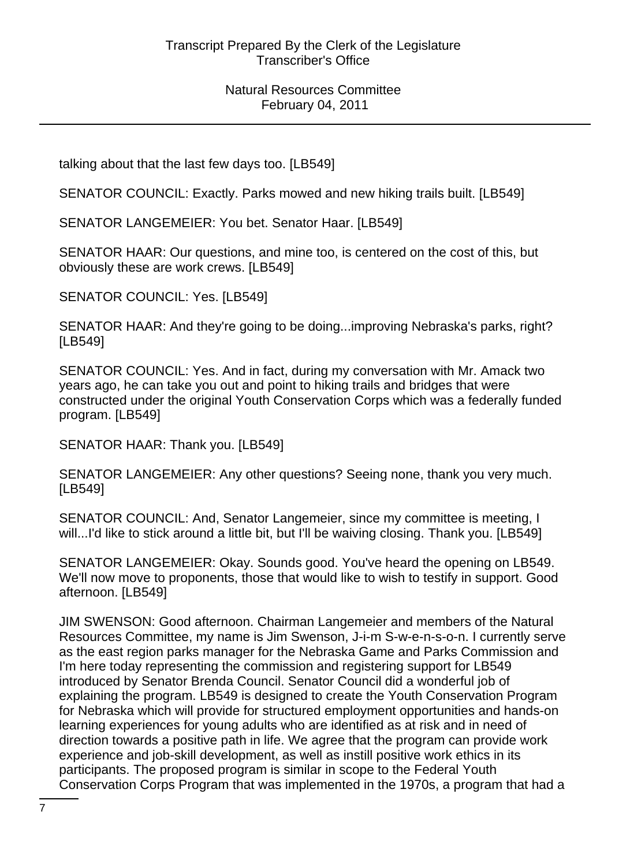talking about that the last few days too. [LB549]

SENATOR COUNCIL: Exactly. Parks mowed and new hiking trails built. [LB549]

SENATOR LANGEMEIER: You bet. Senator Haar. [LB549]

SENATOR HAAR: Our questions, and mine too, is centered on the cost of this, but obviously these are work crews. [LB549]

SENATOR COUNCIL: Yes. [LB549]

SENATOR HAAR: And they're going to be doing...improving Nebraska's parks, right? [LB549]

SENATOR COUNCIL: Yes. And in fact, during my conversation with Mr. Amack two years ago, he can take you out and point to hiking trails and bridges that were constructed under the original Youth Conservation Corps which was a federally funded program. [LB549]

SENATOR HAAR: Thank you. [LB549]

SENATOR LANGEMEIER: Any other questions? Seeing none, thank you very much. [LB549]

SENATOR COUNCIL: And, Senator Langemeier, since my committee is meeting, I will...I'd like to stick around a little bit, but I'll be waiving closing. Thank you. [LB549]

SENATOR LANGEMEIER: Okay. Sounds good. You've heard the opening on LB549. We'll now move to proponents, those that would like to wish to testify in support. Good afternoon. [LB549]

JIM SWENSON: Good afternoon. Chairman Langemeier and members of the Natural Resources Committee, my name is Jim Swenson, J-i-m S-w-e-n-s-o-n. I currently serve as the east region parks manager for the Nebraska Game and Parks Commission and I'm here today representing the commission and registering support for LB549 introduced by Senator Brenda Council. Senator Council did a wonderful job of explaining the program. LB549 is designed to create the Youth Conservation Program for Nebraska which will provide for structured employment opportunities and hands-on learning experiences for young adults who are identified as at risk and in need of direction towards a positive path in life. We agree that the program can provide work experience and job-skill development, as well as instill positive work ethics in its participants. The proposed program is similar in scope to the Federal Youth Conservation Corps Program that was implemented in the 1970s, a program that had a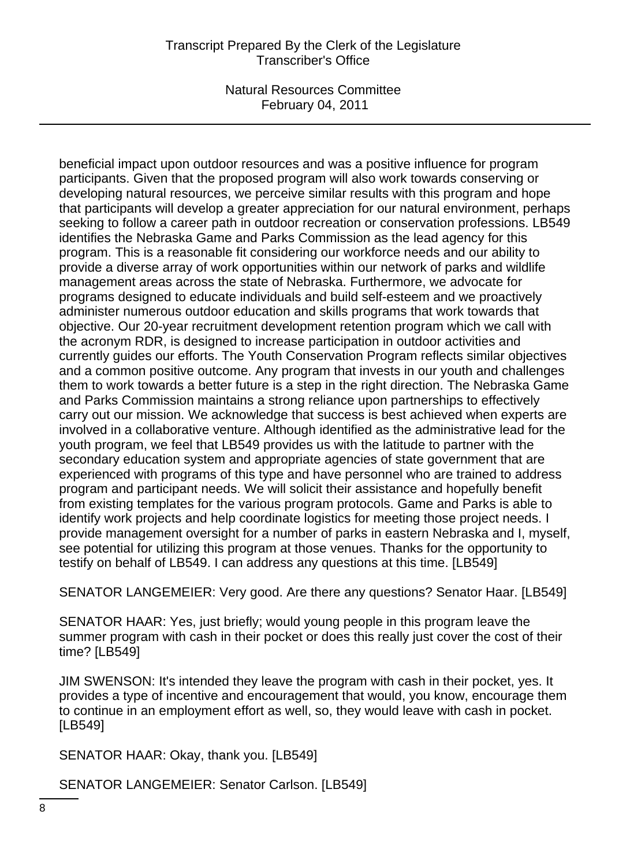## Transcript Prepared By the Clerk of the Legislature Transcriber's Office

Natural Resources Committee February 04, 2011

beneficial impact upon outdoor resources and was a positive influence for program participants. Given that the proposed program will also work towards conserving or developing natural resources, we perceive similar results with this program and hope that participants will develop a greater appreciation for our natural environment, perhaps seeking to follow a career path in outdoor recreation or conservation professions. LB549 identifies the Nebraska Game and Parks Commission as the lead agency for this program. This is a reasonable fit considering our workforce needs and our ability to provide a diverse array of work opportunities within our network of parks and wildlife management areas across the state of Nebraska. Furthermore, we advocate for programs designed to educate individuals and build self-esteem and we proactively administer numerous outdoor education and skills programs that work towards that objective. Our 20-year recruitment development retention program which we call with the acronym RDR, is designed to increase participation in outdoor activities and currently guides our efforts. The Youth Conservation Program reflects similar objectives and a common positive outcome. Any program that invests in our youth and challenges them to work towards a better future is a step in the right direction. The Nebraska Game and Parks Commission maintains a strong reliance upon partnerships to effectively carry out our mission. We acknowledge that success is best achieved when experts are involved in a collaborative venture. Although identified as the administrative lead for the youth program, we feel that LB549 provides us with the latitude to partner with the secondary education system and appropriate agencies of state government that are experienced with programs of this type and have personnel who are trained to address program and participant needs. We will solicit their assistance and hopefully benefit from existing templates for the various program protocols. Game and Parks is able to identify work projects and help coordinate logistics for meeting those project needs. I provide management oversight for a number of parks in eastern Nebraska and I, myself, see potential for utilizing this program at those venues. Thanks for the opportunity to testify on behalf of LB549. I can address any questions at this time. [LB549]

SENATOR LANGEMEIER: Very good. Are there any questions? Senator Haar. [LB549]

SENATOR HAAR: Yes, just briefly; would young people in this program leave the summer program with cash in their pocket or does this really just cover the cost of their time? [LB549]

JIM SWENSON: It's intended they leave the program with cash in their pocket, yes. It provides a type of incentive and encouragement that would, you know, encourage them to continue in an employment effort as well, so, they would leave with cash in pocket. [LB549]

SENATOR HAAR: Okay, thank you. [LB549]

SENATOR LANGEMEIER: Senator Carlson. [LB549]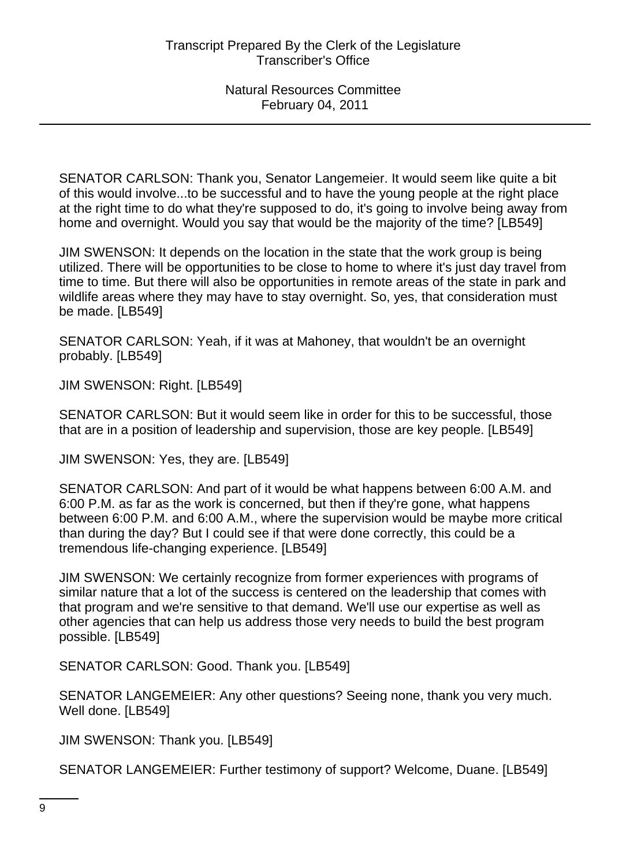SENATOR CARLSON: Thank you, Senator Langemeier. It would seem like quite a bit of this would involve...to be successful and to have the young people at the right place at the right time to do what they're supposed to do, it's going to involve being away from home and overnight. Would you say that would be the majority of the time? [LB549]

JIM SWENSON: It depends on the location in the state that the work group is being utilized. There will be opportunities to be close to home to where it's just day travel from time to time. But there will also be opportunities in remote areas of the state in park and wildlife areas where they may have to stay overnight. So, yes, that consideration must be made. [LB549]

SENATOR CARLSON: Yeah, if it was at Mahoney, that wouldn't be an overnight probably. [LB549]

JIM SWENSON: Right. [LB549]

SENATOR CARLSON: But it would seem like in order for this to be successful, those that are in a position of leadership and supervision, those are key people. [LB549]

JIM SWENSON: Yes, they are. [LB549]

SENATOR CARLSON: And part of it would be what happens between 6:00 A.M. and 6:00 P.M. as far as the work is concerned, but then if they're gone, what happens between 6:00 P.M. and 6:00 A.M., where the supervision would be maybe more critical than during the day? But I could see if that were done correctly, this could be a tremendous life-changing experience. [LB549]

JIM SWENSON: We certainly recognize from former experiences with programs of similar nature that a lot of the success is centered on the leadership that comes with that program and we're sensitive to that demand. We'll use our expertise as well as other agencies that can help us address those very needs to build the best program possible. [LB549]

SENATOR CARLSON: Good. Thank you. [LB549]

SENATOR LANGEMEIER: Any other questions? Seeing none, thank you very much. Well done. [LB549]

JIM SWENSON: Thank you. [LB549]

SENATOR LANGEMEIER: Further testimony of support? Welcome, Duane. [LB549]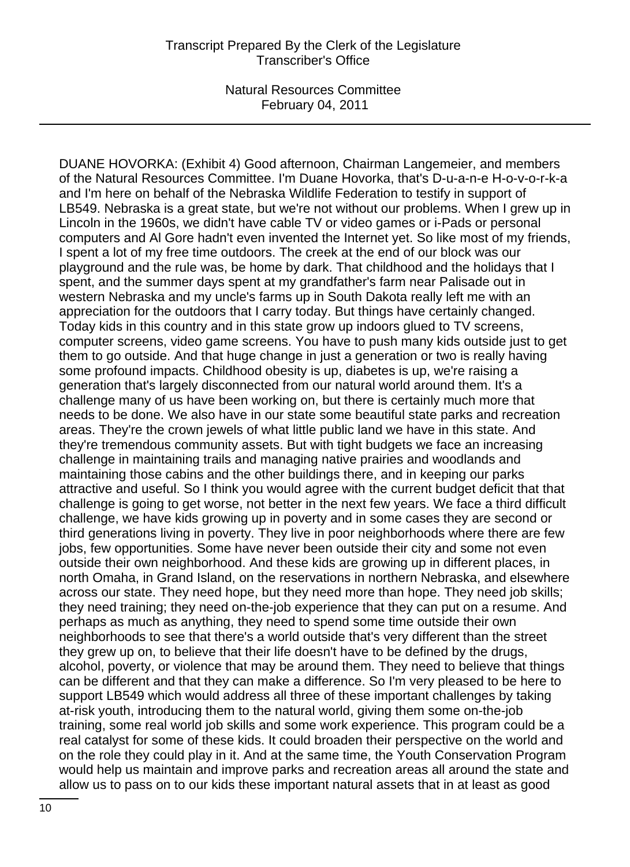DUANE HOVORKA: (Exhibit 4) Good afternoon, Chairman Langemeier, and members of the Natural Resources Committee. I'm Duane Hovorka, that's D-u-a-n-e H-o-v-o-r-k-a and I'm here on behalf of the Nebraska Wildlife Federation to testify in support of LB549. Nebraska is a great state, but we're not without our problems. When I grew up in Lincoln in the 1960s, we didn't have cable TV or video games or i-Pads or personal computers and Al Gore hadn't even invented the Internet yet. So like most of my friends, I spent a lot of my free time outdoors. The creek at the end of our block was our playground and the rule was, be home by dark. That childhood and the holidays that I spent, and the summer days spent at my grandfather's farm near Palisade out in western Nebraska and my uncle's farms up in South Dakota really left me with an appreciation for the outdoors that I carry today. But things have certainly changed. Today kids in this country and in this state grow up indoors glued to TV screens, computer screens, video game screens. You have to push many kids outside just to get them to go outside. And that huge change in just a generation or two is really having some profound impacts. Childhood obesity is up, diabetes is up, we're raising a generation that's largely disconnected from our natural world around them. It's a challenge many of us have been working on, but there is certainly much more that needs to be done. We also have in our state some beautiful state parks and recreation areas. They're the crown jewels of what little public land we have in this state. And they're tremendous community assets. But with tight budgets we face an increasing challenge in maintaining trails and managing native prairies and woodlands and maintaining those cabins and the other buildings there, and in keeping our parks attractive and useful. So I think you would agree with the current budget deficit that that challenge is going to get worse, not better in the next few years. We face a third difficult challenge, we have kids growing up in poverty and in some cases they are second or third generations living in poverty. They live in poor neighborhoods where there are few jobs, few opportunities. Some have never been outside their city and some not even outside their own neighborhood. And these kids are growing up in different places, in north Omaha, in Grand Island, on the reservations in northern Nebraska, and elsewhere across our state. They need hope, but they need more than hope. They need job skills; they need training; they need on-the-job experience that they can put on a resume. And perhaps as much as anything, they need to spend some time outside their own neighborhoods to see that there's a world outside that's very different than the street they grew up on, to believe that their life doesn't have to be defined by the drugs, alcohol, poverty, or violence that may be around them. They need to believe that things can be different and that they can make a difference. So I'm very pleased to be here to support LB549 which would address all three of these important challenges by taking at-risk youth, introducing them to the natural world, giving them some on-the-job training, some real world job skills and some work experience. This program could be a real catalyst for some of these kids. It could broaden their perspective on the world and on the role they could play in it. And at the same time, the Youth Conservation Program would help us maintain and improve parks and recreation areas all around the state and allow us to pass on to our kids these important natural assets that in at least as good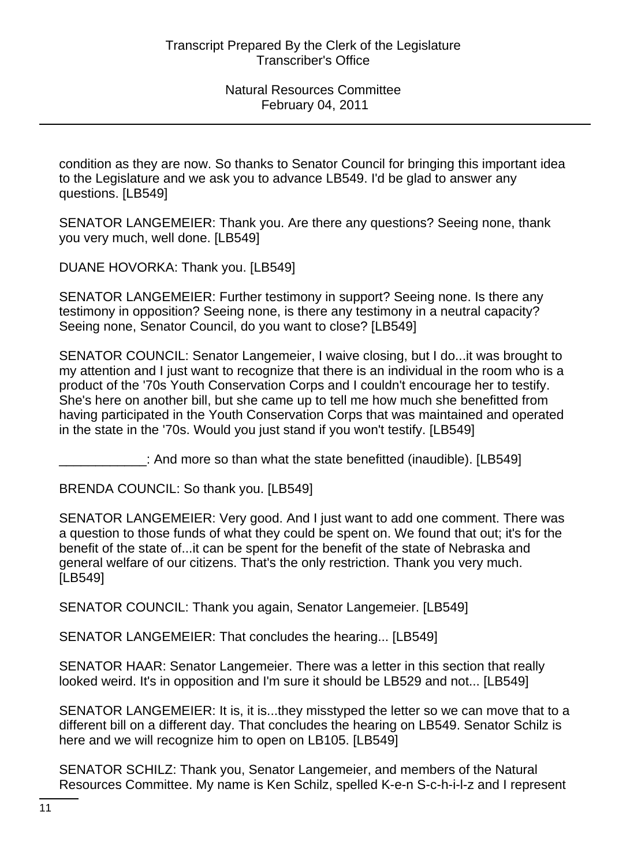condition as they are now. So thanks to Senator Council for bringing this important idea to the Legislature and we ask you to advance LB549. I'd be glad to answer any questions. [LB549]

SENATOR LANGEMEIER: Thank you. Are there any questions? Seeing none, thank you very much, well done. [LB549]

DUANE HOVORKA: Thank you. [LB549]

SENATOR LANGEMEIER: Further testimony in support? Seeing none. Is there any testimony in opposition? Seeing none, is there any testimony in a neutral capacity? Seeing none, Senator Council, do you want to close? [LB549]

SENATOR COUNCIL: Senator Langemeier, I waive closing, but I do...it was brought to my attention and I just want to recognize that there is an individual in the room who is a product of the '70s Youth Conservation Corps and I couldn't encourage her to testify. She's here on another bill, but she came up to tell me how much she benefitted from having participated in the Youth Conservation Corps that was maintained and operated in the state in the '70s. Would you just stand if you won't testify. [LB549]

\_\_\_\_\_\_\_\_\_\_\_\_: And more so than what the state benefitted (inaudible). [LB549]

BRENDA COUNCIL: So thank you. [LB549]

SENATOR LANGEMEIER: Very good. And I just want to add one comment. There was a question to those funds of what they could be spent on. We found that out; it's for the benefit of the state of...it can be spent for the benefit of the state of Nebraska and general welfare of our citizens. That's the only restriction. Thank you very much. [LB549]

SENATOR COUNCIL: Thank you again, Senator Langemeier. [LB549]

SENATOR LANGEMEIER: That concludes the hearing... [LB549]

SENATOR HAAR: Senator Langemeier. There was a letter in this section that really looked weird. It's in opposition and I'm sure it should be LB529 and not... [LB549]

SENATOR LANGEMEIER: It is, it is...they misstyped the letter so we can move that to a different bill on a different day. That concludes the hearing on LB549. Senator Schilz is here and we will recognize him to open on LB105. [LB549]

SENATOR SCHILZ: Thank you, Senator Langemeier, and members of the Natural Resources Committee. My name is Ken Schilz, spelled K-e-n S-c-h-i-l-z and I represent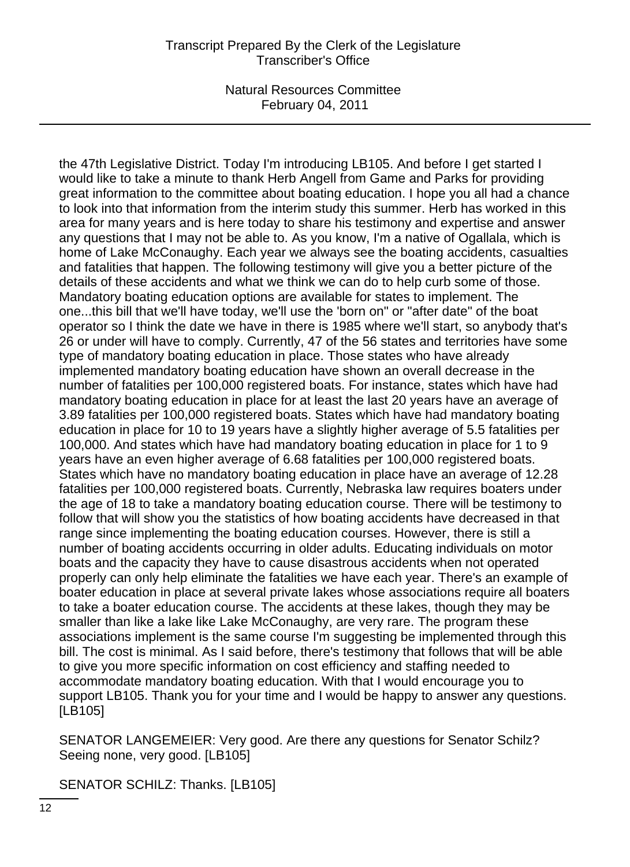the 47th Legislative District. Today I'm introducing LB105. And before I get started I would like to take a minute to thank Herb Angell from Game and Parks for providing great information to the committee about boating education. I hope you all had a chance to look into that information from the interim study this summer. Herb has worked in this area for many years and is here today to share his testimony and expertise and answer any questions that I may not be able to. As you know, I'm a native of Ogallala, which is home of Lake McConaughy. Each year we always see the boating accidents, casualties and fatalities that happen. The following testimony will give you a better picture of the details of these accidents and what we think we can do to help curb some of those. Mandatory boating education options are available for states to implement. The one...this bill that we'll have today, we'll use the 'born on" or "after date" of the boat operator so I think the date we have in there is 1985 where we'll start, so anybody that's 26 or under will have to comply. Currently, 47 of the 56 states and territories have some type of mandatory boating education in place. Those states who have already implemented mandatory boating education have shown an overall decrease in the number of fatalities per 100,000 registered boats. For instance, states which have had mandatory boating education in place for at least the last 20 years have an average of 3.89 fatalities per 100,000 registered boats. States which have had mandatory boating education in place for 10 to 19 years have a slightly higher average of 5.5 fatalities per 100,000. And states which have had mandatory boating education in place for 1 to 9 years have an even higher average of 6.68 fatalities per 100,000 registered boats. States which have no mandatory boating education in place have an average of 12.28 fatalities per 100,000 registered boats. Currently, Nebraska law requires boaters under the age of 18 to take a mandatory boating education course. There will be testimony to follow that will show you the statistics of how boating accidents have decreased in that range since implementing the boating education courses. However, there is still a number of boating accidents occurring in older adults. Educating individuals on motor boats and the capacity they have to cause disastrous accidents when not operated properly can only help eliminate the fatalities we have each year. There's an example of boater education in place at several private lakes whose associations require all boaters to take a boater education course. The accidents at these lakes, though they may be smaller than like a lake like Lake McConaughy, are very rare. The program these associations implement is the same course I'm suggesting be implemented through this bill. The cost is minimal. As I said before, there's testimony that follows that will be able to give you more specific information on cost efficiency and staffing needed to accommodate mandatory boating education. With that I would encourage you to support LB105. Thank you for your time and I would be happy to answer any questions. [LB105]

SENATOR LANGEMEIER: Very good. Are there any questions for Senator Schilz? Seeing none, very good. [LB105]

SENATOR SCHILZ: Thanks. [LB105]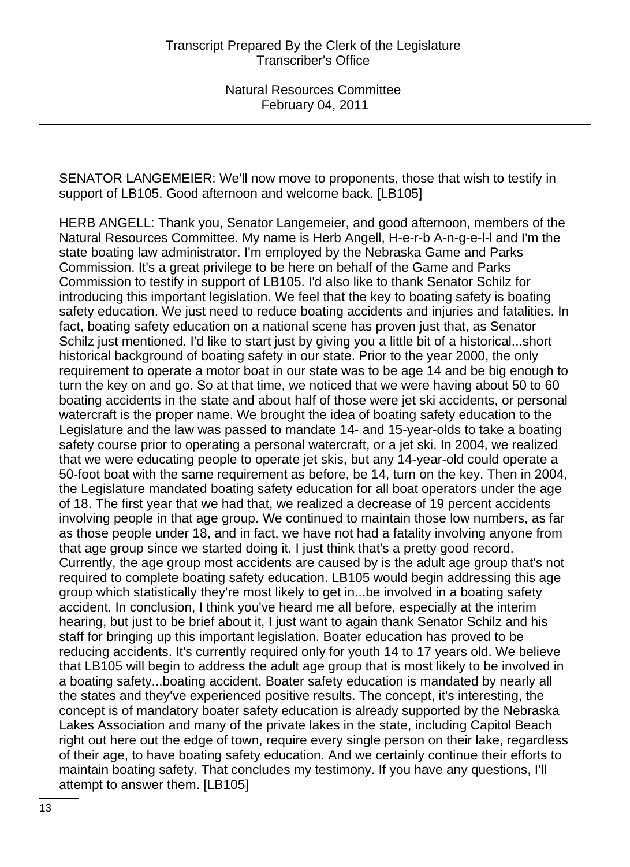SENATOR LANGEMEIER: We'll now move to proponents, those that wish to testify in support of LB105. Good afternoon and welcome back. [LB105]

HERB ANGELL: Thank you, Senator Langemeier, and good afternoon, members of the Natural Resources Committee. My name is Herb Angell, H-e-r-b A-n-g-e-l-l and I'm the state boating law administrator. I'm employed by the Nebraska Game and Parks Commission. It's a great privilege to be here on behalf of the Game and Parks Commission to testify in support of LB105. I'd also like to thank Senator Schilz for introducing this important legislation. We feel that the key to boating safety is boating safety education. We just need to reduce boating accidents and injuries and fatalities. In fact, boating safety education on a national scene has proven just that, as Senator Schilz just mentioned. I'd like to start just by giving you a little bit of a historical...short historical background of boating safety in our state. Prior to the year 2000, the only requirement to operate a motor boat in our state was to be age 14 and be big enough to turn the key on and go. So at that time, we noticed that we were having about 50 to 60 boating accidents in the state and about half of those were jet ski accidents, or personal watercraft is the proper name. We brought the idea of boating safety education to the Legislature and the law was passed to mandate 14- and 15-year-olds to take a boating safety course prior to operating a personal watercraft, or a jet ski. In 2004, we realized that we were educating people to operate jet skis, but any 14-year-old could operate a 50-foot boat with the same requirement as before, be 14, turn on the key. Then in 2004, the Legislature mandated boating safety education for all boat operators under the age of 18. The first year that we had that, we realized a decrease of 19 percent accidents involving people in that age group. We continued to maintain those low numbers, as far as those people under 18, and in fact, we have not had a fatality involving anyone from that age group since we started doing it. I just think that's a pretty good record. Currently, the age group most accidents are caused by is the adult age group that's not required to complete boating safety education. LB105 would begin addressing this age group which statistically they're most likely to get in...be involved in a boating safety accident. In conclusion, I think you've heard me all before, especially at the interim hearing, but just to be brief about it, I just want to again thank Senator Schilz and his staff for bringing up this important legislation. Boater education has proved to be reducing accidents. It's currently required only for youth 14 to 17 years old. We believe that LB105 will begin to address the adult age group that is most likely to be involved in a boating safety...boating accident. Boater safety education is mandated by nearly all the states and they've experienced positive results. The concept, it's interesting, the concept is of mandatory boater safety education is already supported by the Nebraska Lakes Association and many of the private lakes in the state, including Capitol Beach right out here out the edge of town, require every single person on their lake, regardless of their age, to have boating safety education. And we certainly continue their efforts to maintain boating safety. That concludes my testimony. If you have any questions, I'll attempt to answer them. [LB105]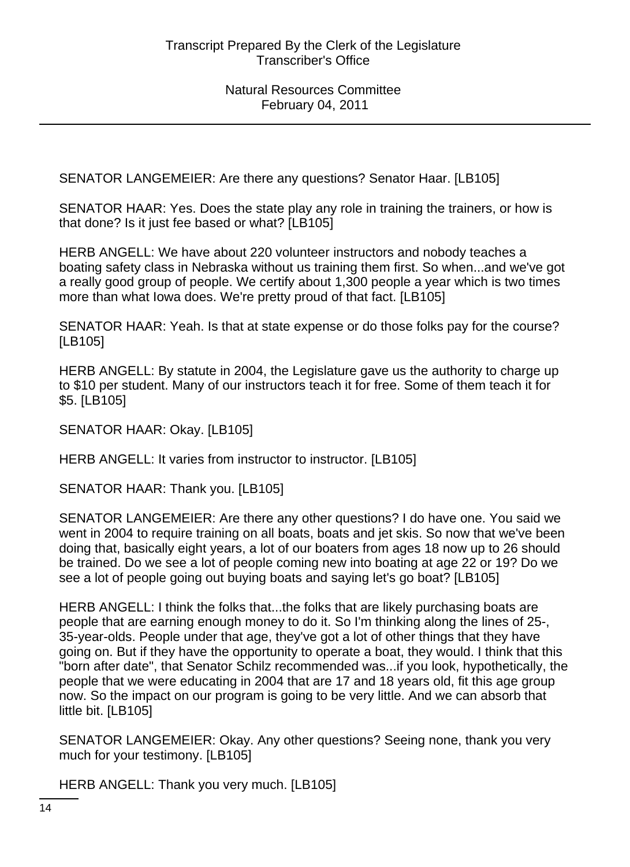SENATOR LANGEMEIER: Are there any questions? Senator Haar. [LB105]

SENATOR HAAR: Yes. Does the state play any role in training the trainers, or how is that done? Is it just fee based or what? [LB105]

HERB ANGELL: We have about 220 volunteer instructors and nobody teaches a boating safety class in Nebraska without us training them first. So when...and we've got a really good group of people. We certify about 1,300 people a year which is two times more than what Iowa does. We're pretty proud of that fact. [LB105]

SENATOR HAAR: Yeah. Is that at state expense or do those folks pay for the course? [LB105]

HERB ANGELL: By statute in 2004, the Legislature gave us the authority to charge up to \$10 per student. Many of our instructors teach it for free. Some of them teach it for \$5. [LB105]

SENATOR HAAR: Okay. [LB105]

HERB ANGELL: It varies from instructor to instructor. [LB105]

SENATOR HAAR: Thank you. [LB105]

SENATOR LANGEMEIER: Are there any other questions? I do have one. You said we went in 2004 to require training on all boats, boats and jet skis. So now that we've been doing that, basically eight years, a lot of our boaters from ages 18 now up to 26 should be trained. Do we see a lot of people coming new into boating at age 22 or 19? Do we see a lot of people going out buying boats and saying let's go boat? [LB105]

HERB ANGELL: I think the folks that...the folks that are likely purchasing boats are people that are earning enough money to do it. So I'm thinking along the lines of 25-, 35-year-olds. People under that age, they've got a lot of other things that they have going on. But if they have the opportunity to operate a boat, they would. I think that this "born after date", that Senator Schilz recommended was...if you look, hypothetically, the people that we were educating in 2004 that are 17 and 18 years old, fit this age group now. So the impact on our program is going to be very little. And we can absorb that little bit. [LB105]

SENATOR LANGEMEIER: Okay. Any other questions? Seeing none, thank you very much for your testimony. [LB105]

HERB ANGELL: Thank you very much. [LB105]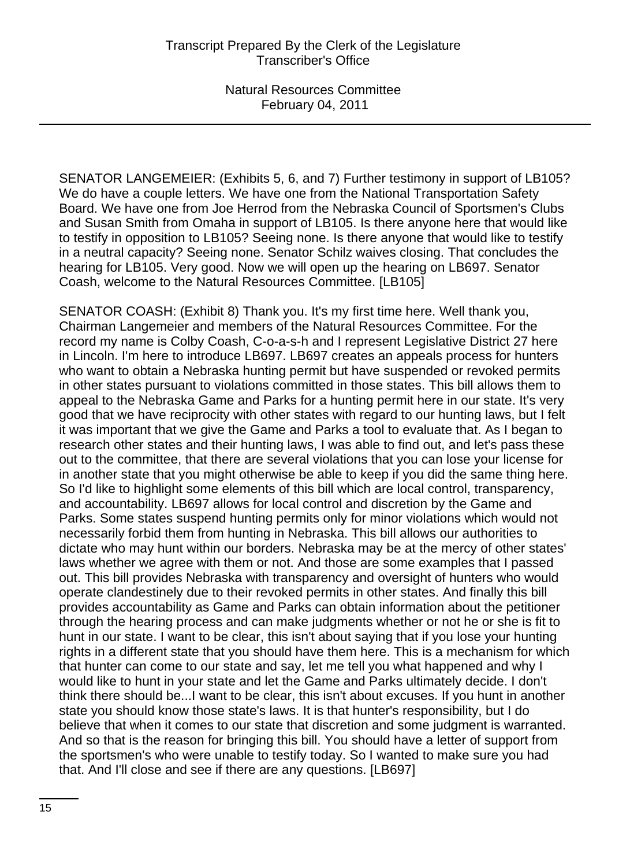SENATOR LANGEMEIER: (Exhibits 5, 6, and 7) Further testimony in support of LB105? We do have a couple letters. We have one from the National Transportation Safety Board. We have one from Joe Herrod from the Nebraska Council of Sportsmen's Clubs and Susan Smith from Omaha in support of LB105. Is there anyone here that would like to testify in opposition to LB105? Seeing none. Is there anyone that would like to testify in a neutral capacity? Seeing none. Senator Schilz waives closing. That concludes the hearing for LB105. Very good. Now we will open up the hearing on LB697. Senator Coash, welcome to the Natural Resources Committee. [LB105]

SENATOR COASH: (Exhibit 8) Thank you. It's my first time here. Well thank you, Chairman Langemeier and members of the Natural Resources Committee. For the record my name is Colby Coash, C-o-a-s-h and I represent Legislative District 27 here in Lincoln. I'm here to introduce LB697. LB697 creates an appeals process for hunters who want to obtain a Nebraska hunting permit but have suspended or revoked permits in other states pursuant to violations committed in those states. This bill allows them to appeal to the Nebraska Game and Parks for a hunting permit here in our state. It's very good that we have reciprocity with other states with regard to our hunting laws, but I felt it was important that we give the Game and Parks a tool to evaluate that. As I began to research other states and their hunting laws, I was able to find out, and let's pass these out to the committee, that there are several violations that you can lose your license for in another state that you might otherwise be able to keep if you did the same thing here. So I'd like to highlight some elements of this bill which are local control, transparency, and accountability. LB697 allows for local control and discretion by the Game and Parks. Some states suspend hunting permits only for minor violations which would not necessarily forbid them from hunting in Nebraska. This bill allows our authorities to dictate who may hunt within our borders. Nebraska may be at the mercy of other states' laws whether we agree with them or not. And those are some examples that I passed out. This bill provides Nebraska with transparency and oversight of hunters who would operate clandestinely due to their revoked permits in other states. And finally this bill provides accountability as Game and Parks can obtain information about the petitioner through the hearing process and can make judgments whether or not he or she is fit to hunt in our state. I want to be clear, this isn't about saying that if you lose your hunting rights in a different state that you should have them here. This is a mechanism for which that hunter can come to our state and say, let me tell you what happened and why I would like to hunt in your state and let the Game and Parks ultimately decide. I don't think there should be...I want to be clear, this isn't about excuses. If you hunt in another state you should know those state's laws. It is that hunter's responsibility, but I do believe that when it comes to our state that discretion and some judgment is warranted. And so that is the reason for bringing this bill. You should have a letter of support from the sportsmen's who were unable to testify today. So I wanted to make sure you had that. And I'll close and see if there are any questions. [LB697]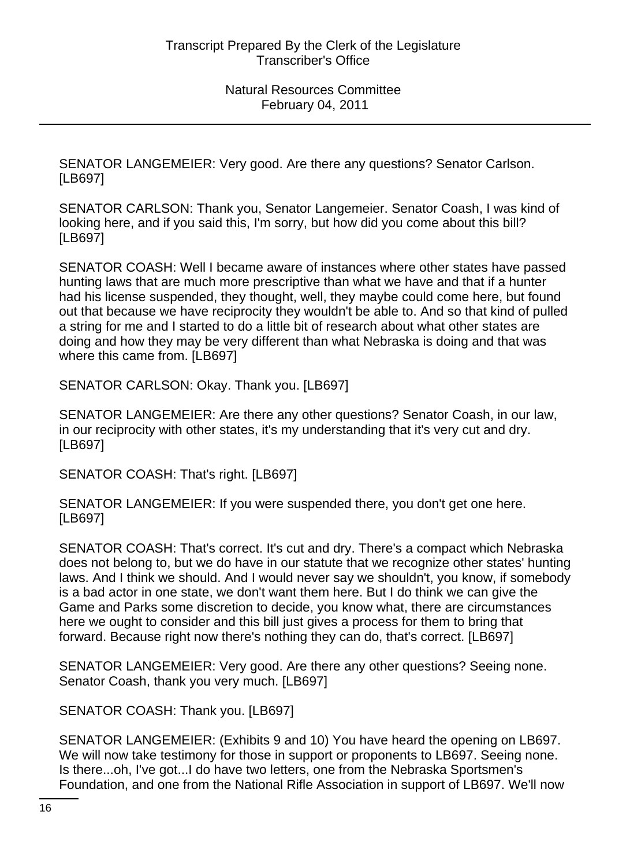SENATOR LANGEMEIER: Very good. Are there any questions? Senator Carlson. [LB697]

SENATOR CARLSON: Thank you, Senator Langemeier. Senator Coash, I was kind of looking here, and if you said this, I'm sorry, but how did you come about this bill? [LB697]

SENATOR COASH: Well I became aware of instances where other states have passed hunting laws that are much more prescriptive than what we have and that if a hunter had his license suspended, they thought, well, they maybe could come here, but found out that because we have reciprocity they wouldn't be able to. And so that kind of pulled a string for me and I started to do a little bit of research about what other states are doing and how they may be very different than what Nebraska is doing and that was where this came from. [LB697]

SENATOR CARLSON: Okay. Thank you. [LB697]

SENATOR LANGEMEIER: Are there any other questions? Senator Coash, in our law, in our reciprocity with other states, it's my understanding that it's very cut and dry. [LB697]

SENATOR COASH: That's right. [LB697]

SENATOR LANGEMEIER: If you were suspended there, you don't get one here. [LB697]

SENATOR COASH: That's correct. It's cut and dry. There's a compact which Nebraska does not belong to, but we do have in our statute that we recognize other states' hunting laws. And I think we should. And I would never say we shouldn't, you know, if somebody is a bad actor in one state, we don't want them here. But I do think we can give the Game and Parks some discretion to decide, you know what, there are circumstances here we ought to consider and this bill just gives a process for them to bring that forward. Because right now there's nothing they can do, that's correct. [LB697]

SENATOR LANGEMEIER: Very good. Are there any other questions? Seeing none. Senator Coash, thank you very much. [LB697]

SENATOR COASH: Thank you. [LB697]

SENATOR LANGEMEIER: (Exhibits 9 and 10) You have heard the opening on LB697. We will now take testimony for those in support or proponents to LB697. Seeing none. Is there...oh, I've got...I do have two letters, one from the Nebraska Sportsmen's Foundation, and one from the National Rifle Association in support of LB697. We'll now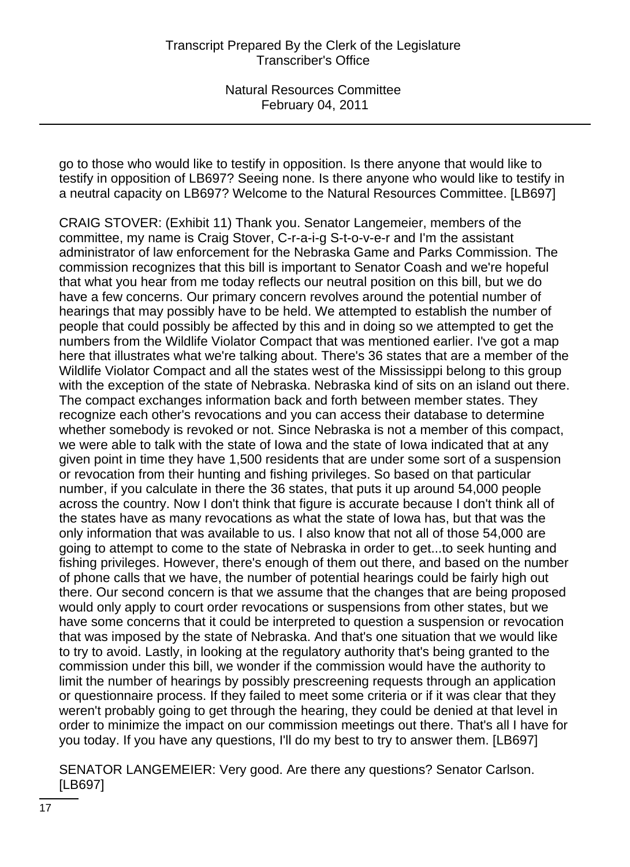go to those who would like to testify in opposition. Is there anyone that would like to testify in opposition of LB697? Seeing none. Is there anyone who would like to testify in a neutral capacity on LB697? Welcome to the Natural Resources Committee. [LB697]

CRAIG STOVER: (Exhibit 11) Thank you. Senator Langemeier, members of the committee, my name is Craig Stover, C-r-a-i-g S-t-o-v-e-r and I'm the assistant administrator of law enforcement for the Nebraska Game and Parks Commission. The commission recognizes that this bill is important to Senator Coash and we're hopeful that what you hear from me today reflects our neutral position on this bill, but we do have a few concerns. Our primary concern revolves around the potential number of hearings that may possibly have to be held. We attempted to establish the number of people that could possibly be affected by this and in doing so we attempted to get the numbers from the Wildlife Violator Compact that was mentioned earlier. I've got a map here that illustrates what we're talking about. There's 36 states that are a member of the Wildlife Violator Compact and all the states west of the Mississippi belong to this group with the exception of the state of Nebraska. Nebraska kind of sits on an island out there. The compact exchanges information back and forth between member states. They recognize each other's revocations and you can access their database to determine whether somebody is revoked or not. Since Nebraska is not a member of this compact, we were able to talk with the state of Iowa and the state of Iowa indicated that at any given point in time they have 1,500 residents that are under some sort of a suspension or revocation from their hunting and fishing privileges. So based on that particular number, if you calculate in there the 36 states, that puts it up around 54,000 people across the country. Now I don't think that figure is accurate because I don't think all of the states have as many revocations as what the state of Iowa has, but that was the only information that was available to us. I also know that not all of those 54,000 are going to attempt to come to the state of Nebraska in order to get...to seek hunting and fishing privileges. However, there's enough of them out there, and based on the number of phone calls that we have, the number of potential hearings could be fairly high out there. Our second concern is that we assume that the changes that are being proposed would only apply to court order revocations or suspensions from other states, but we have some concerns that it could be interpreted to question a suspension or revocation that was imposed by the state of Nebraska. And that's one situation that we would like to try to avoid. Lastly, in looking at the regulatory authority that's being granted to the commission under this bill, we wonder if the commission would have the authority to limit the number of hearings by possibly prescreening requests through an application or questionnaire process. If they failed to meet some criteria or if it was clear that they weren't probably going to get through the hearing, they could be denied at that level in order to minimize the impact on our commission meetings out there. That's all I have for you today. If you have any questions, I'll do my best to try to answer them. [LB697]

SENATOR LANGEMEIER: Very good. Are there any questions? Senator Carlson. [LB697]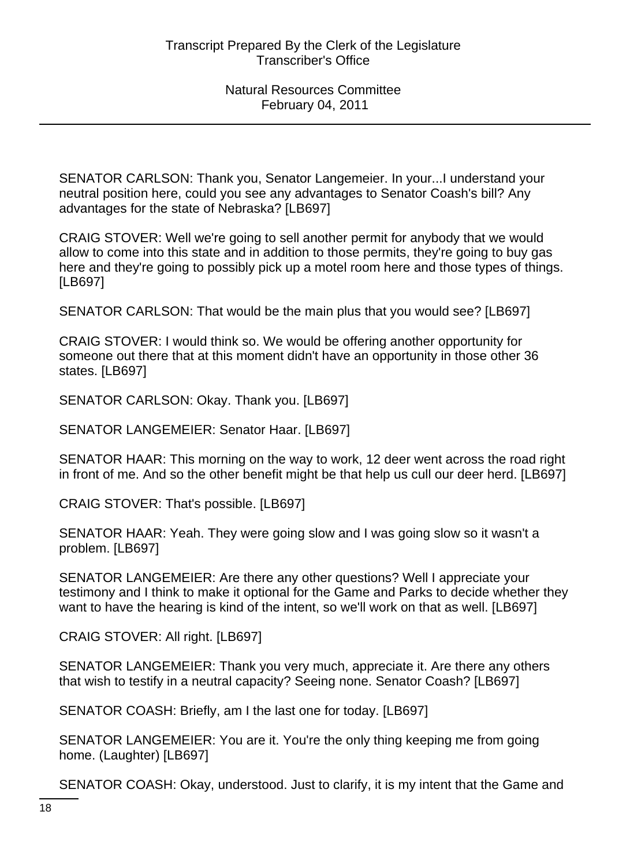SENATOR CARLSON: Thank you, Senator Langemeier. In your...I understand your neutral position here, could you see any advantages to Senator Coash's bill? Any advantages for the state of Nebraska? [LB697]

CRAIG STOVER: Well we're going to sell another permit for anybody that we would allow to come into this state and in addition to those permits, they're going to buy gas here and they're going to possibly pick up a motel room here and those types of things. [LB697]

SENATOR CARLSON: That would be the main plus that you would see? [LB697]

CRAIG STOVER: I would think so. We would be offering another opportunity for someone out there that at this moment didn't have an opportunity in those other 36 states. [LB697]

SENATOR CARLSON: Okay. Thank you. [LB697]

SENATOR LANGEMEIER: Senator Haar. [LB697]

SENATOR HAAR: This morning on the way to work, 12 deer went across the road right in front of me. And so the other benefit might be that help us cull our deer herd. [LB697]

CRAIG STOVER: That's possible. [LB697]

SENATOR HAAR: Yeah. They were going slow and I was going slow so it wasn't a problem. [LB697]

SENATOR LANGEMEIER: Are there any other questions? Well I appreciate your testimony and I think to make it optional for the Game and Parks to decide whether they want to have the hearing is kind of the intent, so we'll work on that as well. [LB697]

CRAIG STOVER: All right. [LB697]

SENATOR LANGEMEIER: Thank you very much, appreciate it. Are there any others that wish to testify in a neutral capacity? Seeing none. Senator Coash? [LB697]

SENATOR COASH: Briefly, am I the last one for today. [LB697]

SENATOR LANGEMEIER: You are it. You're the only thing keeping me from going home. (Laughter) [LB697]

SENATOR COASH: Okay, understood. Just to clarify, it is my intent that the Game and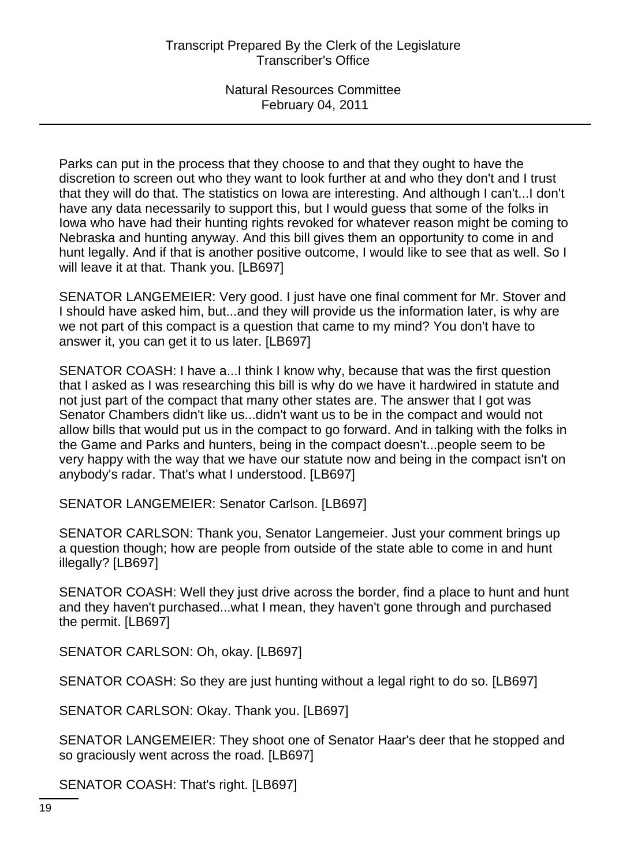Parks can put in the process that they choose to and that they ought to have the discretion to screen out who they want to look further at and who they don't and I trust that they will do that. The statistics on Iowa are interesting. And although I can't...I don't have any data necessarily to support this, but I would guess that some of the folks in Iowa who have had their hunting rights revoked for whatever reason might be coming to Nebraska and hunting anyway. And this bill gives them an opportunity to come in and hunt legally. And if that is another positive outcome, I would like to see that as well. So I will leave it at that. Thank you. [LB697]

SENATOR LANGEMEIER: Very good. I just have one final comment for Mr. Stover and I should have asked him, but...and they will provide us the information later, is why are we not part of this compact is a question that came to my mind? You don't have to answer it, you can get it to us later. [LB697]

SENATOR COASH: I have a...I think I know why, because that was the first question that I asked as I was researching this bill is why do we have it hardwired in statute and not just part of the compact that many other states are. The answer that I got was Senator Chambers didn't like us...didn't want us to be in the compact and would not allow bills that would put us in the compact to go forward. And in talking with the folks in the Game and Parks and hunters, being in the compact doesn't...people seem to be very happy with the way that we have our statute now and being in the compact isn't on anybody's radar. That's what I understood. [LB697]

SENATOR LANGEMEIER: Senator Carlson. [LB697]

SENATOR CARLSON: Thank you, Senator Langemeier. Just your comment brings up a question though; how are people from outside of the state able to come in and hunt illegally? [LB697]

SENATOR COASH: Well they just drive across the border, find a place to hunt and hunt and they haven't purchased...what I mean, they haven't gone through and purchased the permit. [LB697]

SENATOR CARLSON: Oh, okay. [LB697]

SENATOR COASH: So they are just hunting without a legal right to do so. [LB697]

SENATOR CARLSON: Okay. Thank you. [LB697]

SENATOR LANGEMEIER: They shoot one of Senator Haar's deer that he stopped and so graciously went across the road. [LB697]

SENATOR COASH: That's right. [LB697]